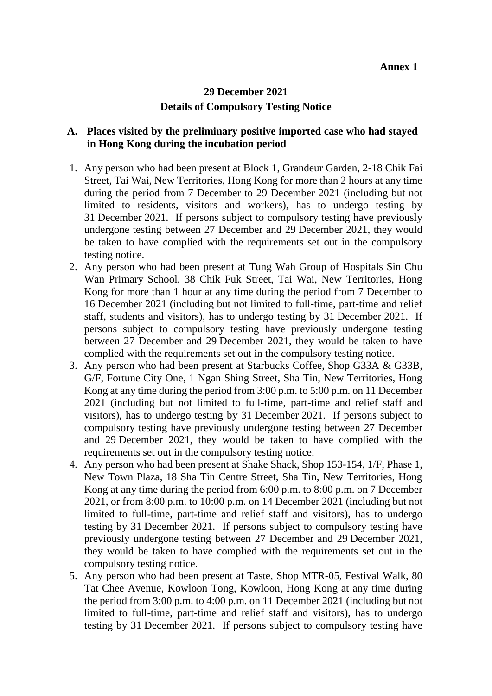## **29 December 2021 Details of Compulsory Testing Notice**

## **A. Places visited by the preliminary positive imported case who had stayed in Hong Kong during the incubation period**

- 1. Any person who had been present at Block 1, Grandeur Garden, 2-18 Chik Fai Street, Tai Wai, New Territories, Hong Kong for more than 2 hours at any time during the period from 7 December to 29 December 2021 (including but not limited to residents, visitors and workers), has to undergo testing by 31 December 2021. If persons subject to compulsory testing have previously undergone testing between 27 December and 29 December 2021, they would be taken to have complied with the requirements set out in the compulsory testing notice.
- 2. Any person who had been present at Tung Wah Group of Hospitals Sin Chu Wan Primary School, 38 Chik Fuk Street, Tai Wai, New Territories, Hong Kong for more than 1 hour at any time during the period from 7 December to 16 December 2021 (including but not limited to full-time, part-time and relief staff, students and visitors), has to undergo testing by 31 December 2021. If persons subject to compulsory testing have previously undergone testing between 27 December and 29 December 2021, they would be taken to have complied with the requirements set out in the compulsory testing notice.
- 3. Any person who had been present at Starbucks Coffee, Shop G33A & G33B, G/F, Fortune City One, 1 Ngan Shing Street, Sha Tin, New Territories, Hong Kong at any time during the period from 3:00 p.m. to 5:00 p.m. on 11 December 2021 (including but not limited to full-time, part-time and relief staff and visitors), has to undergo testing by 31 December 2021. If persons subject to compulsory testing have previously undergone testing between 27 December and 29 December 2021, they would be taken to have complied with the requirements set out in the compulsory testing notice.
- 4. Any person who had been present at Shake Shack, Shop 153-154, 1/F, Phase 1, New Town Plaza, 18 Sha Tin Centre Street, Sha Tin, New Territories, Hong Kong at any time during the period from 6:00 p.m. to 8:00 p.m. on 7 December 2021, or from 8:00 p.m. to 10:00 p.m. on 14 December 2021 (including but not limited to full-time, part-time and relief staff and visitors), has to undergo testing by 31 December 2021. If persons subject to compulsory testing have previously undergone testing between 27 December and 29 December 2021, they would be taken to have complied with the requirements set out in the compulsory testing notice.
- 5. Any person who had been present at Taste, Shop MTR-05, Festival Walk, 80 Tat Chee Avenue, Kowloon Tong, Kowloon, Hong Kong at any time during the period from 3:00 p.m. to 4:00 p.m. on 11 December 2021 (including but not limited to full-time, part-time and relief staff and visitors), has to undergo testing by 31 December 2021. If persons subject to compulsory testing have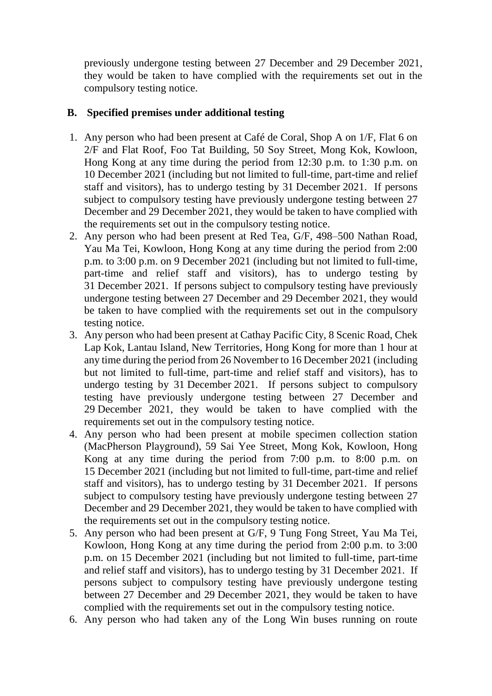previously undergone testing between 27 December and 29 December 2021, they would be taken to have complied with the requirements set out in the compulsory testing notice.

## **B. Specified premises under additional testing**

- 1. Any person who had been present at Café de Coral, Shop A on 1/F, Flat 6 on 2/F and Flat Roof, Foo Tat Building, 50 Soy Street, Mong Kok, Kowloon, Hong Kong at any time during the period from 12:30 p.m. to 1:30 p.m. on 10 December 2021 (including but not limited to full-time, part-time and relief staff and visitors), has to undergo testing by 31 December 2021. If persons subject to compulsory testing have previously undergone testing between 27 December and 29 December 2021, they would be taken to have complied with the requirements set out in the compulsory testing notice.
- 2. Any person who had been present at Red Tea, G/F, 498–500 Nathan Road, Yau Ma Tei, Kowloon, Hong Kong at any time during the period from 2:00 p.m. to 3:00 p.m. on 9 December 2021 (including but not limited to full-time, part-time and relief staff and visitors), has to undergo testing by 31 December 2021. If persons subject to compulsory testing have previously undergone testing between 27 December and 29 December 2021, they would be taken to have complied with the requirements set out in the compulsory testing notice.
- 3. Any person who had been present at Cathay Pacific City, 8 Scenic Road, Chek Lap Kok, Lantau Island, New Territories, Hong Kong for more than 1 hour at any time during the period from 26 November to 16 December 2021 (including but not limited to full-time, part-time and relief staff and visitors), has to undergo testing by 31 December 2021. If persons subject to compulsory testing have previously undergone testing between 27 December and 29 December 2021, they would be taken to have complied with the requirements set out in the compulsory testing notice.
- 4. Any person who had been present at mobile specimen collection station (MacPherson Playground), 59 Sai Yee Street, Mong Kok, Kowloon, Hong Kong at any time during the period from 7:00 p.m. to 8:00 p.m. on 15 December 2021 (including but not limited to full-time, part-time and relief staff and visitors), has to undergo testing by 31 December 2021. If persons subject to compulsory testing have previously undergone testing between 27 December and 29 December 2021, they would be taken to have complied with the requirements set out in the compulsory testing notice.
- 5. Any person who had been present at G/F, 9 Tung Fong Street, Yau Ma Tei, Kowloon, Hong Kong at any time during the period from 2:00 p.m. to 3:00 p.m. on 15 December 2021 (including but not limited to full-time, part-time and relief staff and visitors), has to undergo testing by 31 December 2021. If persons subject to compulsory testing have previously undergone testing between 27 December and 29 December 2021, they would be taken to have complied with the requirements set out in the compulsory testing notice.
- 6. Any person who had taken any of the Long Win buses running on route